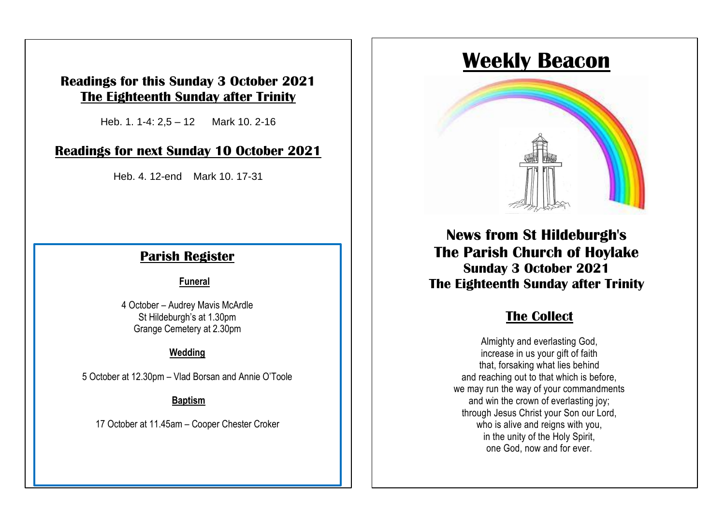**Readings for this Sunday 3 October 2021 The Eighteenth Sunday after Trinity**

Heb. 1. 1-4: 2,5 – 12 Mark 10. 2-16

#### **Readings for next Sunday 10 October 2021**

**Sunday Services at St Hildeburgh's** Heb. 4. 12-end Mark 10. 17-31

# **Parish Register**

conducted in line with Church of England guidance and may

The service is also available to view on our website is also available to view on our website  $\sim$  **Funeral**

St Hildeburgh's at 1.30pm<br>Cronge Cemetery at 2.30pm 4 October – Audrey Mavis McArdle Grange Cemetery at 2.30pm

#### **Wedding**

5 October at 12.30pm – Vlad Borsan and Annie O'Toole

#### **Baptism**

17 October at 11.45am – Cooper Chester Croker

# **Weekly Beacon**



**News from St Hildeburgh's The Parish Church of Hoylake Sunday 3 October 2021 The Eighteenth Sunday after Trinity**

# **The Collect**

Almighty and everlasting God, increase in us your gift of faith that, forsaking what lies behind and reaching out to that which is before, we may run the way of your commandments and win the crown of everlasting joy; through Jesus Christ your Son our Lord, who is alive and reigns with you, in the unity of the Holy Spirit, one God, now and for ever.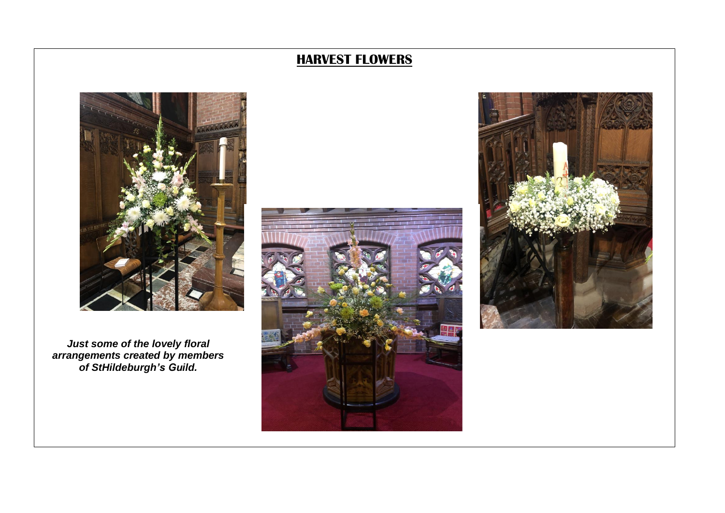# **HARVEST FLOWERS**



*Just some of the lovely floral arrangements created by members of StHildeburgh's Guild.*



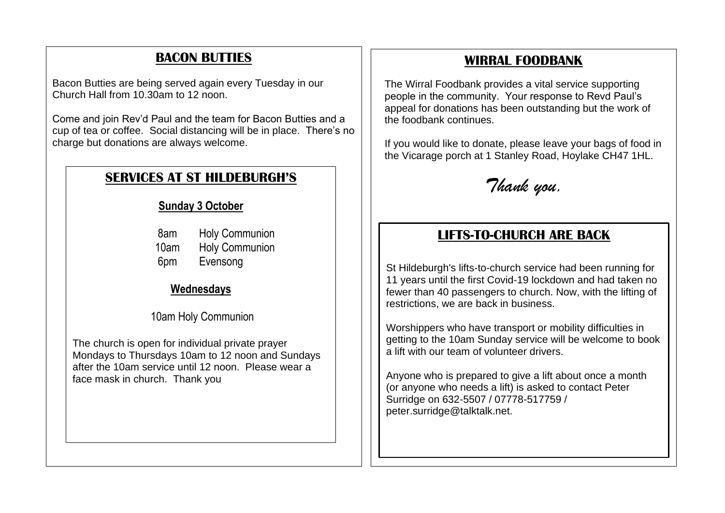### **BACON BUTTIES**

Bacon Butties are being served again every Tuesday in our Church Hall from 10.30am to 12 noon.

Come and join Rev'd Paul and the team for Bacon Butties and a cup of tea or coffee. Social distancing will be in place. There's no charge but donations are always welcome.

### **SERVICES AT ST HILDEBURGH'S**

#### **Sunday 3 October**

| 8am  | <b>Holy Communion</b> |
|------|-----------------------|
| 10am | <b>Holy Communion</b> |
| 6pm  | Evensong              |

#### **Wednesdays**

10am Holy Communion

The church is open for individual private prayer Mondays to Thursdays 10am to 12 noon and Sundays after the 10am service until 12 noon. Please wear a face mask in church. Thank you

### **WIRRAL FOODBANK**

The Wirral Foodbank provides a vital service supporting people in the community. Your response to Revd Paul's appeal for donations has been outstanding but the work of the foodbank continues.

If you would like to donate, please leave your bags of food in the Vicarage porch at 1 Stanley Road, Hoylake CH47 1HL.

*Thank you.*

### **LIFTS-TO-CHURCH ARE BACK**

St Hildeburgh's lifts-to-church service had been running for 11 years until the first Covid-19 lockdown and had taken no fewer than 40 passengers to church. Now, with the lifting of restrictions, we are back in business.

Worshippers who have transport or mobility difficulties in getting to the 10am Sunday service will be welcome to book a lift with our team of volunteer drivers.

Anyone who is prepared to give a lift about once a month (or anyone who needs a lift) is asked to contact Peter Surridge on 632-5507 / 07778-517759 / peter.surridge@talktalk.net.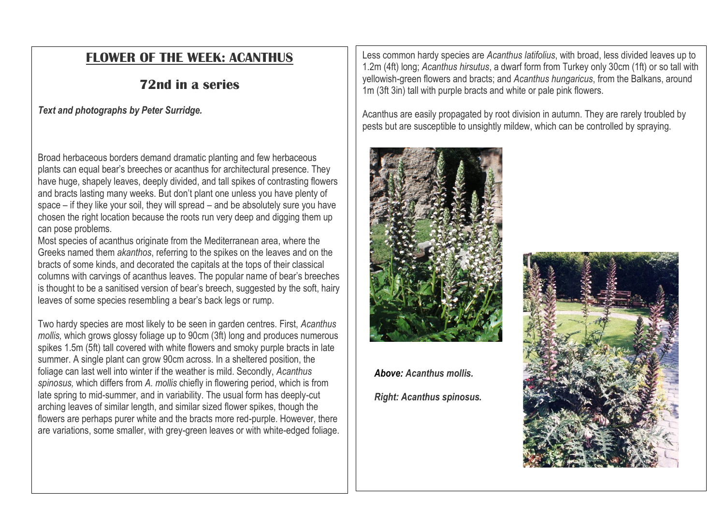### **FLOWER OF THE WEEK: ACANTHUS**

### **72nd in a series**

*Text and photographs by Peter Surridge.*

Broad herbaceous borders demand dramatic planting and few herbaceous plants can equal bear's breeches or acanthus for architectural presence. They have huge, shapely leaves, deeply divided, and tall spikes of contrasting flowers and bracts lasting many weeks. But don't plant one unless you have plenty of space – if they like your soil, they will spread – and be absolutely sure you have chosen the right location because the roots run very deep and digging them up can pose problems.

Most species of acanthus originate from the Mediterranean area, where the Greeks named them *akanthos*, referring to the spikes on the leaves and on the bracts of some kinds, and decorated the capitals at the tops of their classical columns with carvings of acanthus leaves. The popular name of bear's breeches is thought to be a sanitised version of bear's breech, suggested by the soft, hairy leaves of some species resembling a bear's back legs or rump.

Two hardy species are most likely to be seen in garden centres. First, *Acanthus mollis,* which grows glossy foliage up to 90cm (3ft) long and produces numerous spikes 1.5m (5ft) tall covered with white flowers and smoky purple bracts in late summer. A single plant can grow 90cm across. In a sheltered position, the foliage can last well into winter if the weather is mild. Secondly, *Acanthus spinosus,* which differs from *A. mollis* chiefly in flowering period, which is from late spring to mid-summer, and in variability. The usual form has deeply-cut arching leaves of similar length, and similar sized flower spikes, though the flowers are perhaps purer white and the bracts more red-purple. However, there are variations, some smaller, with grey-green leaves or with white-edged foliage.

Less common hardy species are *Acanthus latifolius*, with broad, less divided leaves up to 1.2m (4ft) long; *Acanthus hirsutus*, a dwarf form from Turkey only 30cm (1ft) or so tall with yellowish-green flowers and bracts; and *Acanthus hungaricus*, from the Balkans, around 1m (3ft 3in) tall with purple bracts and white or pale pink flowers.

Acanthus are easily propagated by root division in autumn. They are rarely troubled by pests but are susceptible to unsightly mildew, which can be controlled by spraying.



*Above: Acanthus mollis. Right: Acanthus spinosus.*